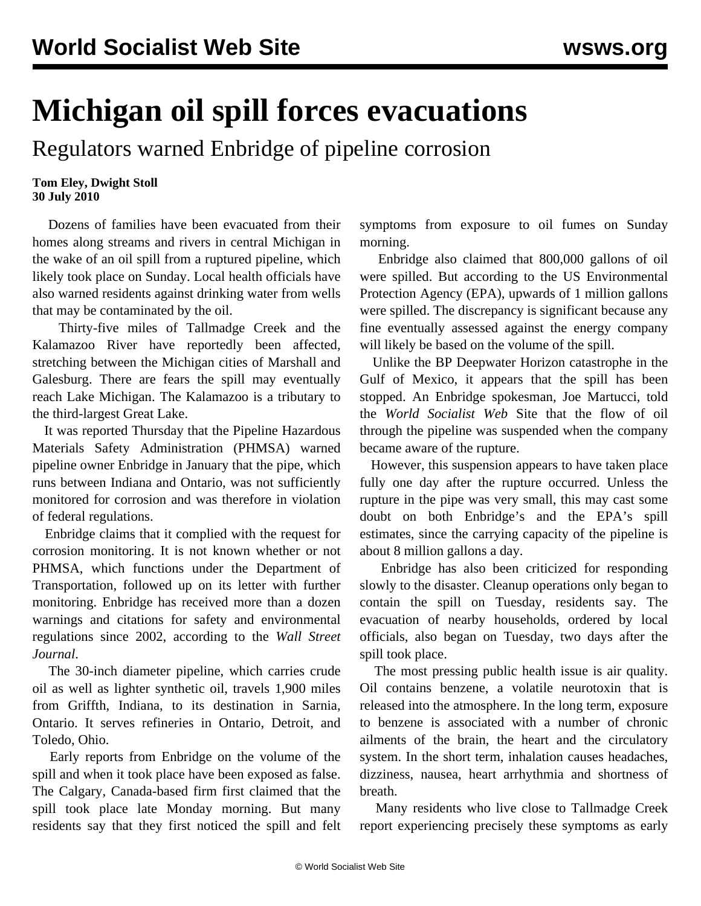## **Michigan oil spill forces evacuations**

Regulators warned Enbridge of pipeline corrosion

## **Tom Eley, Dwight Stoll 30 July 2010**

 Dozens of families have been evacuated from their homes along streams and rivers in central Michigan in the wake of an oil spill from a ruptured pipeline, which likely took place on Sunday. Local health officials have also warned residents against drinking water from wells that may be contaminated by the oil.

 Thirty-five miles of Tallmadge Creek and the Kalamazoo River have reportedly been affected, stretching between the Michigan cities of Marshall and Galesburg. There are fears the spill may eventually reach Lake Michigan. The Kalamazoo is a tributary to the third-largest Great Lake.

 It was reported Thursday that the Pipeline Hazardous Materials Safety Administration (PHMSA) warned pipeline owner Enbridge in January that the pipe, which runs between Indiana and Ontario, was not sufficiently monitored for corrosion and was therefore in violation of federal regulations.

 Enbridge claims that it complied with the request for corrosion monitoring. It is not known whether or not PHMSA, which functions under the Department of Transportation, followed up on its letter with further monitoring. Enbridge has received more than a dozen warnings and citations for safety and environmental regulations since 2002, according to the *Wall Street Journal*.

 The 30-inch diameter pipeline, which carries crude oil as well as lighter synthetic oil, travels 1,900 miles from Griffth, Indiana, to its destination in Sarnia, Ontario. It serves refineries in Ontario, Detroit, and Toledo, Ohio.

 Early reports from Enbridge on the volume of the spill and when it took place have been exposed as false. The Calgary, Canada-based firm first claimed that the spill took place late Monday morning. But many residents say that they first noticed the spill and felt symptoms from exposure to oil fumes on Sunday morning.

 Enbridge also claimed that 800,000 gallons of oil were spilled. But according to the US Environmental Protection Agency (EPA), upwards of 1 million gallons were spilled. The discrepancy is significant because any fine eventually assessed against the energy company will likely be based on the volume of the spill.

 Unlike the BP Deepwater Horizon catastrophe in the Gulf of Mexico, it appears that the spill has been stopped. An Enbridge spokesman, Joe Martucci, told the *World Socialist Web* Site that the flow of oil through the pipeline was suspended when the company became aware of the rupture.

 However, this suspension appears to have taken place fully one day after the rupture occurred. Unless the rupture in the pipe was very small, this may cast some doubt on both Enbridge's and the EPA's spill estimates, since the carrying capacity of the pipeline is about 8 million gallons a day.

 Enbridge has also been criticized for responding slowly to the disaster. Cleanup operations only began to contain the spill on Tuesday, residents say. The evacuation of nearby households, ordered by local officials, also began on Tuesday, two days after the spill took place.

 The most pressing public health issue is air quality. Oil contains benzene, a volatile neurotoxin that is released into the atmosphere. In the long term, exposure to benzene is associated with a number of chronic ailments of the brain, the heart and the circulatory system. In the short term, inhalation causes headaches, dizziness, nausea, heart arrhythmia and shortness of breath.

 Many residents who live close to Tallmadge Creek report experiencing precisely these symptoms as early